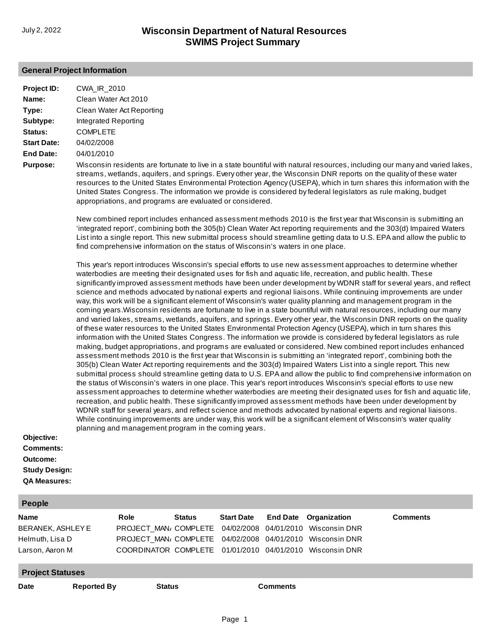## **General Project Information**

| Project ID:                                                                               | CWA_IR_2010                                                                                                                                                                                                                                                                                                                                                                                                                                                                                                                                                                                                                                                                                                                                                                                                                                                                                                                                                                                                                                                                                                                                                                                                                                                                                                                                                                                                                                                                                                                                                                                                                                                                                                                                                                                                                                                                                                                                                                                                                                                                                                                                                                                                                                            |
|-------------------------------------------------------------------------------------------|--------------------------------------------------------------------------------------------------------------------------------------------------------------------------------------------------------------------------------------------------------------------------------------------------------------------------------------------------------------------------------------------------------------------------------------------------------------------------------------------------------------------------------------------------------------------------------------------------------------------------------------------------------------------------------------------------------------------------------------------------------------------------------------------------------------------------------------------------------------------------------------------------------------------------------------------------------------------------------------------------------------------------------------------------------------------------------------------------------------------------------------------------------------------------------------------------------------------------------------------------------------------------------------------------------------------------------------------------------------------------------------------------------------------------------------------------------------------------------------------------------------------------------------------------------------------------------------------------------------------------------------------------------------------------------------------------------------------------------------------------------------------------------------------------------------------------------------------------------------------------------------------------------------------------------------------------------------------------------------------------------------------------------------------------------------------------------------------------------------------------------------------------------------------------------------------------------------------------------------------------------|
| Name:                                                                                     | Clean Water Act 2010                                                                                                                                                                                                                                                                                                                                                                                                                                                                                                                                                                                                                                                                                                                                                                                                                                                                                                                                                                                                                                                                                                                                                                                                                                                                                                                                                                                                                                                                                                                                                                                                                                                                                                                                                                                                                                                                                                                                                                                                                                                                                                                                                                                                                                   |
| Type:                                                                                     | Clean Water Act Reporting                                                                                                                                                                                                                                                                                                                                                                                                                                                                                                                                                                                                                                                                                                                                                                                                                                                                                                                                                                                                                                                                                                                                                                                                                                                                                                                                                                                                                                                                                                                                                                                                                                                                                                                                                                                                                                                                                                                                                                                                                                                                                                                                                                                                                              |
| Subtype:                                                                                  | Integrated Reporting                                                                                                                                                                                                                                                                                                                                                                                                                                                                                                                                                                                                                                                                                                                                                                                                                                                                                                                                                                                                                                                                                                                                                                                                                                                                                                                                                                                                                                                                                                                                                                                                                                                                                                                                                                                                                                                                                                                                                                                                                                                                                                                                                                                                                                   |
| Status:                                                                                   | <b>COMPLETE</b>                                                                                                                                                                                                                                                                                                                                                                                                                                                                                                                                                                                                                                                                                                                                                                                                                                                                                                                                                                                                                                                                                                                                                                                                                                                                                                                                                                                                                                                                                                                                                                                                                                                                                                                                                                                                                                                                                                                                                                                                                                                                                                                                                                                                                                        |
| <b>Start Date:</b>                                                                        | 04/02/2008                                                                                                                                                                                                                                                                                                                                                                                                                                                                                                                                                                                                                                                                                                                                                                                                                                                                                                                                                                                                                                                                                                                                                                                                                                                                                                                                                                                                                                                                                                                                                                                                                                                                                                                                                                                                                                                                                                                                                                                                                                                                                                                                                                                                                                             |
| <b>End Date:</b>                                                                          | 04/01/2010                                                                                                                                                                                                                                                                                                                                                                                                                                                                                                                                                                                                                                                                                                                                                                                                                                                                                                                                                                                                                                                                                                                                                                                                                                                                                                                                                                                                                                                                                                                                                                                                                                                                                                                                                                                                                                                                                                                                                                                                                                                                                                                                                                                                                                             |
| <b>Purpose:</b>                                                                           | Wisconsin residents are fortunate to live in a state bountiful with natural resources, including our many and varied lakes,<br>streams, wetlands, aquifers, and springs. Every other year, the Wisconsin DNR reports on the quality of these water<br>resources to the United States Environmental Protection Agency (USEPA), which in turn shares this information with the<br>United States Congress. The information we provide is considered by federal legislators as rule making, budget<br>appropriations, and programs are evaluated or considered.                                                                                                                                                                                                                                                                                                                                                                                                                                                                                                                                                                                                                                                                                                                                                                                                                                                                                                                                                                                                                                                                                                                                                                                                                                                                                                                                                                                                                                                                                                                                                                                                                                                                                            |
|                                                                                           | New combined report includes enhanced assessment methods 2010 is the first year that Wisconsin is submitting an<br>'integrated report', combining both the 305(b) Clean Water Act reporting requirements and the 303(d) Impaired Waters<br>List into a single report. This new submittal process should streamline getting data to U.S. EPA and allow the public to<br>find comprehensive information on the status of Wisconsin's waters in one place.                                                                                                                                                                                                                                                                                                                                                                                                                                                                                                                                                                                                                                                                                                                                                                                                                                                                                                                                                                                                                                                                                                                                                                                                                                                                                                                                                                                                                                                                                                                                                                                                                                                                                                                                                                                                |
| Objective:<br><b>Comments:</b><br>Outcome:<br><b>Study Design:</b><br><b>QA Measures:</b> | This year's report introduces Wisconsin's special efforts to use new assessment approaches to determine whether<br>waterbodies are meeting their designated uses for fish and aquatic life, recreation, and public health. These<br>significantly improved assessment methods have been under development by WDNR staff for several years, and reflect<br>science and methods advocated by national experts and regional liaisons. While continuing improvements are under<br>way, this work will be a significant element of Wisconsin's water quality planning and management program in the<br>coming years. Wisconsin residents are fortunate to live in a state bountiful with natural resources, including our many<br>and varied lakes, streams, wetlands, aquifers, and springs. Every other year, the Wisconsin DNR reports on the quality<br>of these water resources to the United States Environmental Protection Agency (USEPA), which in turn shares this<br>information with the United States Congress. The information we provide is considered by federal legislators as rule<br>making, budget appropriations, and programs are evaluated or considered. New combined report includes enhanced<br>assessment methods 2010 is the first year that Wisconsin is submitting an 'integrated report', combining both the<br>305(b) Clean Water Act reporting requirements and the 303(d) Impaired Waters List into a single report. This new<br>submittal process should streamline getting data to U.S. EPA and allow the public to find comprehensive information on<br>the status of Wisconsin's waters in one place. This year's report introduces Wisconsin's special efforts to use new<br>assessment approaches to determine whether waterbodies are meeting their designated uses for fish and aquatic life,<br>recreation, and public health. These significantly improved assessment methods have been under development by<br>WDNR staff for several years, and reflect science and methods advocated by national experts and regional liaisons.<br>While continuing improvements are under way, this work will be a significant element of Wisconsin's water quality<br>planning and management program in the coming years. |
| <b>People</b>                                                                             |                                                                                                                                                                                                                                                                                                                                                                                                                                                                                                                                                                                                                                                                                                                                                                                                                                                                                                                                                                                                                                                                                                                                                                                                                                                                                                                                                                                                                                                                                                                                                                                                                                                                                                                                                                                                                                                                                                                                                                                                                                                                                                                                                                                                                                                        |

| <b>Name</b>             | Role | <b>Status</b> |  | <b>Start Date End Date Organization</b>                               | <b>Comments</b> |
|-------------------------|------|---------------|--|-----------------------------------------------------------------------|-----------------|
| BERANEK, ASHLEY E       |      |               |  | PROJECT MAN <sub>i</sub> COMPLETE 04/02/2008 04/01/2010 Wisconsin DNR |                 |
| Helmuth, Lisa D         |      |               |  | PROJECT MAN <sub>i</sub> COMPLETE 04/02/2008 04/01/2010 Wisconsin DNR |                 |
| Larson, Aaron M         |      |               |  | COORDINATOR COMPLETE 01/01/2010 04/01/2010 Wisconsin DNR              |                 |
| <b>Project Statuses</b> |      |               |  |                                                                       |                 |

**Date Reported By Status Comments**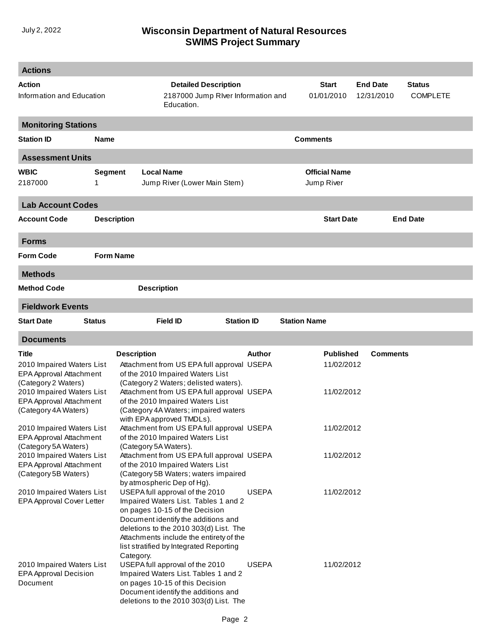## **SWIMS Project Summary** July 2, 2022 **Wisconsin Department of Natural Resources**

| <b>Actions</b>                                       |                                     |                                                                                     |                                                                   |                      |                               |                                  |  |
|------------------------------------------------------|-------------------------------------|-------------------------------------------------------------------------------------|-------------------------------------------------------------------|----------------------|-------------------------------|----------------------------------|--|
| Action<br>Information and Education                  |                                     | Education.                                                                          | <b>Detailed Description</b><br>2187000 Jump RIver Information and |                      | <b>End Date</b><br>12/31/2010 | <b>Status</b><br><b>COMPLETE</b> |  |
| <b>Monitoring Stations</b>                           |                                     |                                                                                     |                                                                   |                      |                               |                                  |  |
| <b>Station ID</b>                                    | <b>Name</b>                         |                                                                                     |                                                                   | <b>Comments</b>      |                               |                                  |  |
| <b>Assessment Units</b>                              |                                     |                                                                                     |                                                                   |                      |                               |                                  |  |
| <b>WBIC</b>                                          | <b>Segment</b><br><b>Local Name</b> |                                                                                     |                                                                   | <b>Official Name</b> |                               |                                  |  |
| 2187000                                              | 1                                   |                                                                                     | Jump River (Lower Main Stem)                                      |                      | Jump River                    |                                  |  |
| <b>Lab Account Codes</b>                             |                                     |                                                                                     |                                                                   |                      |                               |                                  |  |
| <b>Account Code</b>                                  | <b>Description</b>                  |                                                                                     |                                                                   | <b>Start Date</b>    |                               | <b>End Date</b>                  |  |
| <b>Forms</b>                                         |                                     |                                                                                     |                                                                   |                      |                               |                                  |  |
| <b>Form Code</b>                                     | <b>Form Name</b>                    |                                                                                     |                                                                   |                      |                               |                                  |  |
| <b>Methods</b>                                       |                                     |                                                                                     |                                                                   |                      |                               |                                  |  |
| <b>Method Code</b>                                   |                                     | <b>Description</b>                                                                  |                                                                   |                      |                               |                                  |  |
| <b>Fieldwork Events</b>                              |                                     |                                                                                     |                                                                   |                      |                               |                                  |  |
| <b>Start Date</b>                                    | <b>Status</b>                       | <b>Field ID</b>                                                                     | <b>Station ID</b>                                                 | <b>Station Name</b>  |                               |                                  |  |
| <b>Documents</b>                                     |                                     |                                                                                     |                                                                   |                      |                               |                                  |  |
| Title                                                |                                     | <b>Description</b>                                                                  | Author                                                            | <b>Published</b>     | <b>Comments</b>               |                                  |  |
| 2010 Impaired Waters List<br>EPA Approval Attachment |                                     | Attachment from US EPA full approval USEPA<br>of the 2010 Impaired Waters List      |                                                                   | 11/02/2012           |                               |                                  |  |
| (Category 2 Waters)<br>2010 Impaired Waters List     |                                     | (Category 2 Waters; delisted waters).<br>Attachment from US EPA full approval USEPA |                                                                   | 11/02/2012           |                               |                                  |  |
| EPA Approval Attachment                              |                                     | of the 2010 Impaired Waters List                                                    |                                                                   |                      |                               |                                  |  |
| (Category 4A Waters)                                 |                                     | (Category 4A Waters; impaired waters                                                |                                                                   |                      |                               |                                  |  |
| 2010 Impaired Waters List                            |                                     | with EPA approved TMDLs).<br>Attachment from US EPA full approval USEPA             |                                                                   | 11/02/2012           |                               |                                  |  |
| EPA Approval Attachment                              |                                     | of the 2010 Impaired Waters List                                                    |                                                                   |                      |                               |                                  |  |
| (Category 5A Waters)<br>2010 Impaired Waters List    |                                     | (Category 5A Waters).<br>Attachment from US EPA full approval USEPA                 |                                                                   | 11/02/2012           |                               |                                  |  |
| EPA Approval Attachment                              |                                     | of the 2010 Impaired Waters List                                                    |                                                                   |                      |                               |                                  |  |
| (Category 5B Waters)                                 |                                     | (Category 5B Waters; waters impaired<br>by atmospheric Dep of Hg).                  |                                                                   |                      |                               |                                  |  |
| 2010 Impaired Waters List                            |                                     | USEPA full approval of the 2010                                                     | <b>USEPA</b>                                                      | 11/02/2012           |                               |                                  |  |
| <b>EPA Approval Cover Letter</b>                     |                                     | Impaired Waters List. Tables 1 and 2<br>on pages 10-15 of the Decision              |                                                                   |                      |                               |                                  |  |
|                                                      |                                     | Document identify the additions and                                                 |                                                                   |                      |                               |                                  |  |
|                                                      |                                     | deletions to the 2010 303(d) List. The                                              |                                                                   |                      |                               |                                  |  |
|                                                      |                                     | Attachments include the entirety of the<br>list stratified by Integrated Reporting  |                                                                   |                      |                               |                                  |  |
|                                                      |                                     | Category.                                                                           |                                                                   |                      |                               |                                  |  |
| 2010 Impaired Waters List                            |                                     | USEPA full approval of the 2010                                                     | <b>USEPA</b>                                                      | 11/02/2012           |                               |                                  |  |
| <b>EPA Approval Decision</b><br>Document             |                                     | Impaired Waters List. Tables 1 and 2<br>on pages 10-15 of this Decision             |                                                                   |                      |                               |                                  |  |
|                                                      |                                     | Document identify the additions and                                                 |                                                                   |                      |                               |                                  |  |
| deletions to the 2010 303(d) List. The               |                                     |                                                                                     |                                                                   |                      |                               |                                  |  |